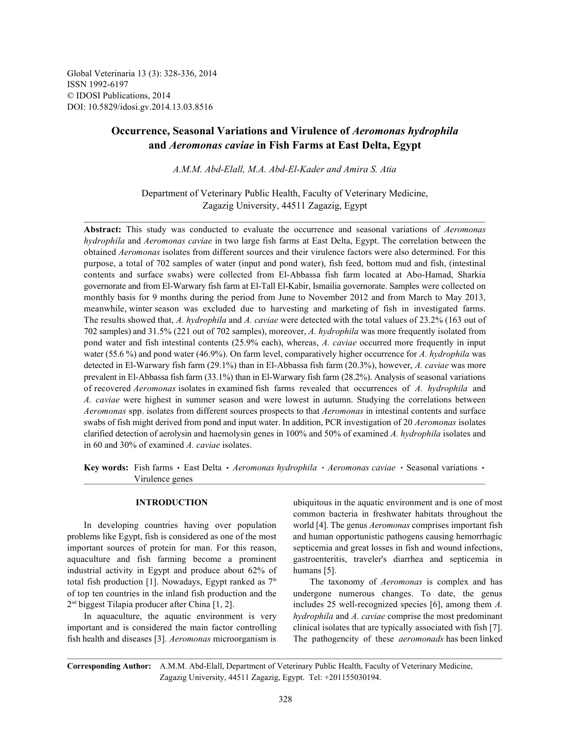Global Veterinaria 13 (3): 328-336, 2014 ISSN 1992-6197 © IDOSI Publications, 2014 DOI: 10.5829/idosi.gv.2014.13.03.8516

## **Occurrence, Seasonal Variations and Virulence of** *Aeromonas hydrophila* **and** *Aeromonas caviae* **in Fish Farms at East Delta, Egypt**

*A.M.M. Abd-Elall, M.A. Abd-El-Kader and Amira S. Atia*

Department of Veterinary Public Health, Faculty of Veterinary Medicine, Zagazig University, 44511 Zagazig, Egypt

**Abstract:** This study was conducted to evaluate the occurrence and seasonal variations of *Aeromonas hydrophila* and *Aeromonas caviae* in two large fish farms at East Delta, Egypt. The correlation between the obtained *Aeromonas* isolates from different sources and their virulence factors were also determined. For this purpose, a total of 702 samples of water (input and pond water), fish feed, bottom mud and fish, (intestinal contents and surface swabs) were collected from El-Abbassa fish farm located at Abo-Hamad, Sharkia governorate and from El-Warwary fish farm at El-Tall El-Kabir, Ismailia governorate. Samples were collected on monthly basis for 9 months during the period from June to November 2012 and from March to May 2013, meanwhile, winter season was excluded due to harvesting and marketing of fish in investigated farms. The results showed that, *A. hydrophila* and *A. caviae* were detected with the total values of 23.2% (163 out of 702 samples) and 31.5% (221 out of 702 samples), moreover, *A. hydrophila* was more frequently isolated from pond water and fish intestinal contents (25.9% each), whereas, *A. caviae* occurred more frequently in input water (55.6 %) and pond water (46.9%). On farm level, comparatively higher occurrence for *A. hydrophila* was detected in El-Warwary fish farm (29.1%) than in El-Abbassa fish farm (20.3%), however, *A. caviae* was more prevalent in El-Abbassa fish farm (33.1%) than in El-Warwary fish farm (28.2%). Analysis of seasonal variations of recovered *Aeromonas* isolates in examined fish farms revealed that occurrences of *A. hydrophila* and *A. caviae* were highest in summer season and were lowest in autumn. Studying the correlations between *Aeromonas* spp. isolates from different sources prospects to that *Aeromonas* in intestinal contents and surface swabs of fish might derived from pond and input water. In addition, PCR investigation of 20 *Aeromonas* isolates clarified detection of aerolysin and haemolysin genes in 100% and 50% of examined *A. hydrophila* isolates and in 60 and 30% of examined *A. caviae* isolates.

**Key words:** Fish farms · East Delta · Aeromonas hydrophila · Aeromonas caviae · Seasonal variations · Virulence genes

problems like Egypt, fish is considered as one of the most and human opportunistic pathogens causing hemorrhagic important sources of protein for man. For this reason, septicemia and great losses in fish and wound infections, aquaculture and fish farming become a prominent gastroenteritis, traveler's diarrhea and septicemia in industrial activity in Egypt and produce about 62% of humans [5]. total fish production [1]. Nowadays, Egypt ranked as  $7<sup>th</sup>$  The taxonomy of *Aeromonas* is complex and has of top ten countries in the inland fish production and the undergone numerous changes. To date, the genus  $2<sup>nd</sup>$  biggest Tilapia producer after China [1, 2]. includes 25 well-recognized species [6], among them *A*.

**INTRODUCTION** ubiquitous in the aquatic environment and is one of most In developing countries having over population world [4]. The genus *Aeromonas* comprises important fish common bacteria in freshwater habitats throughout the

In aquaculture, the aquatic environment is very *hydrophila* and *A. caviae* comprise the most predominant important and is considered the main factor controlling clinical isolates that are typically associated with fish [7]. fish health and diseases [3]. *Aeromonas* microorganism is The pathogencity of these *aeromonads* has been linked

**Corresponding Author:** A.M.M. Abd-Elall, Department of Veterinary Public Health, Faculty of Veterinary Medicine, Zagazig University, 44511 Zagazig, Egypt. Tel: +201155030194.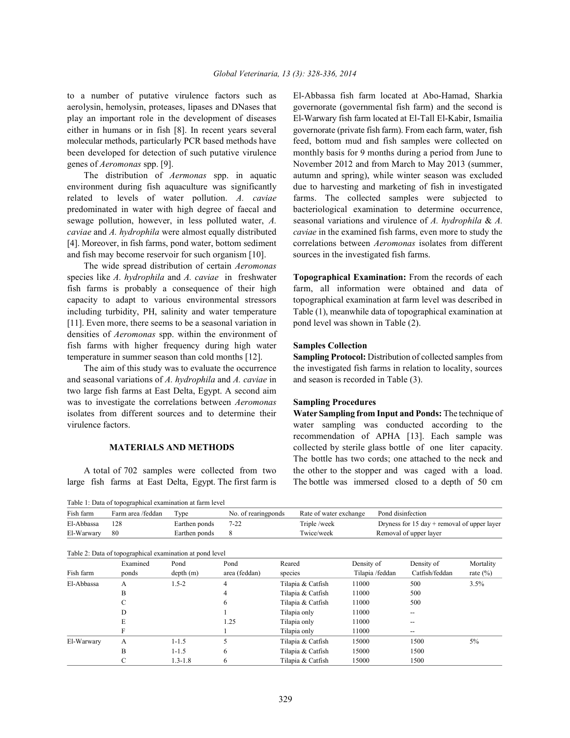aerolysin, hemolysin, proteases, lipases and DNases that governorate (governmental fish farm) and the second is play an important role in the development of diseases El-Warwary fish farm located at El-Tall El-Kabir, Ismailia either in humans or in fish [8]. In recent years several governorate (private fish farm). From each farm, water, fish molecular methods, particularly PCR based methods have feed, bottom mud and fish samples were collected on been developed for detection of such putative virulence monthly basis for 9 months during a period from June to genes of *Aeromonas* spp. [9]. November 2012 and from March to May 2013 (summer,

environment during fish aquaculture was significantly due to harvesting and marketing of fish in investigated related to levels of water pollution. *A. caviae* farms. The collected samples were subjected to predominated in water with high degree of faecal and bacteriological examination to determine occurrence, sewage pollution, however, in less polluted water, *A.* seasonal variations and virulence of *A. hydrophila & A. caviae* and *A. hydrophila* were almost equally distributed *caviae* in the examined fish farms, even more to study the [4]. Moreover, in fish farms, pond water, bottom sediment correlations between *Aeromonas* isolates from different and fish may become reservoir for such organism [10]. sources in the investigated fish farms.

The wide spread distribution of certain *Aeromonas* species like *A. hydrophila* and *A. caviae* in freshwater **Topographical Examination:** From the records of each fish farms is probably a consequence of their high farm, all information were obtained and data of capacity to adapt to various environmental stressors topographical examination at farm level was described in including turbidity, PH, salinity and water temperature Table (1), meanwhile data of topographical examination at [11]. Even more, there seems to be a seasonal variation in pond level was shown in Table (2). densities of *Aeromonas* spp. within the environment of fish farms with higher frequency during high water **Samples Collection** temperature in summer season than cold months [12]. **Sampling Protocol:** Distribution of collected samples from

and seasonal variations of *A. hydrophila* and *A. caviae* in and season is recorded in Table (3). two large fish farms at East Delta, Egypt. A second aim was to investigate the correlations between *Aeromonas* **Sampling Procedures** isolates from different sources and to determine their **Water Sampling from Input and Ponds:** The technique of

large fish farms at East Delta, Egypt. The first farm is The bottle was immersed closed to a depth of 50 cm

Table 1: Data of topographical examination at farm level

to a number of putative virulence factors such as El-Abbassa fish farm located at Abo-Hamad, Sharkia The distribution of *Aermonas* spp. in aquatic autumn and spring), while winter season was excluded

The aim of this study was to evaluate the occurrence the investigated fish farms in relation to locality, sources

virulence factors. water sampling was conducted according to the **MATERIALS AND METHODS** collected by sterile glass bottle of one liter capacity. A total of 702 samples were collected from two the other to the stopper and was caged with a load. recommendation of APHA [13]. Each sample was The bottle has two cords; one attached to the neck and

| Fish farm  | Farm area /feddan                                        | I vpe         | No. of rearing ponds | Rate of water exchange | Pond disinfection                                     |
|------------|----------------------------------------------------------|---------------|----------------------|------------------------|-------------------------------------------------------|
| El-Abbassa | 128                                                      | Earthen ponds | $7 - 22$             | Triple /week           | Dryness for $15 \text{ day} +$ removal of upper layer |
| El-Warwary | 80                                                       | Earthen ponds |                      | Twice/week             | Removal of upper layer                                |
|            |                                                          |               |                      |                        |                                                       |
|            | Table 2: Data of topographical examination at pond level |               |                      |                        |                                                       |

| Examined | Pond        | Pond          | Reared                                                   | Density of      | Density of     | Mortality   |
|----------|-------------|---------------|----------------------------------------------------------|-----------------|----------------|-------------|
| ponds    | depth(m)    | area (feddan) | species                                                  | Tilapia /feddan | Catfish/feddan | rate $(\%)$ |
| A        | $1.5 - 2$   | 4             | Tilapia & Catfish                                        | 11000           | 500            | 3.5%        |
| B        |             | 4             | Tilapia & Catfish                                        | 11000           | 500            |             |
|          |             | 6             | Tilapia & Catfish                                        | 11000           | 500            |             |
| D        |             |               | Tilapia only                                             | 11000           | --             |             |
| Е        |             | 1.25          | Tilapia only                                             | 11000           |                |             |
|          |             |               | Tilapia only                                             | 11000           | --             |             |
| A        | $1 - 1.5$   |               | Tilapia & Catfish                                        | 15000           | 1500           | 5%          |
| B        | $1 - 1.5$   | 6             | Tilapia & Catfish                                        | 15000           | 1500           |             |
|          | $1.3 - 1.8$ | 6             | Tilapia & Catfish                                        | 15000           | 1500           |             |
|          |             |               | Table 2: Data of topographical examination at pond level |                 |                |             |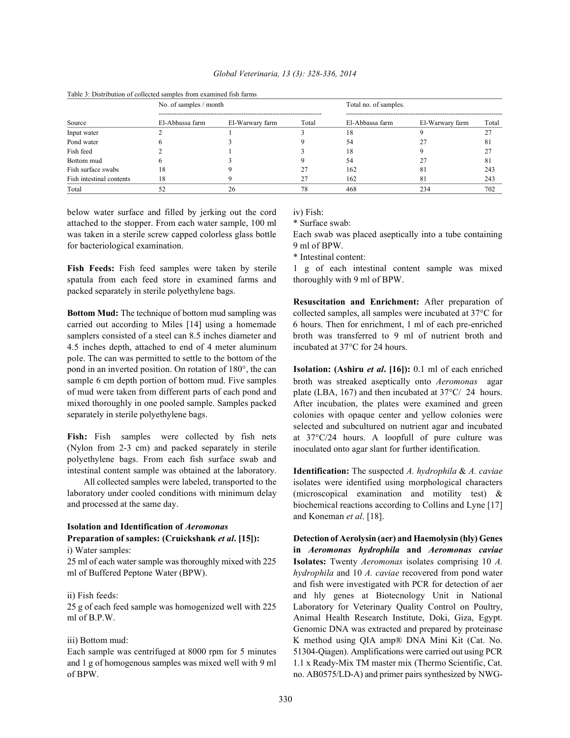|                          | No. of samples / month |                 |       | Total no. of samples. |                 |       |
|--------------------------|------------------------|-----------------|-------|-----------------------|-----------------|-------|
| Source                   | El-Abbassa farm        | El-Warwary farm | Total | El-Abbassa farm       | El-Warwary farm | Total |
| Input water              |                        |                 |       | 18                    |                 |       |
| Pond water               |                        |                 |       | 54                    |                 | 81    |
| Fish feed                |                        |                 |       | 18                    |                 |       |
| Bottom mud               |                        |                 |       | 54                    |                 | 81    |
| Fish surface swabs       | 18                     |                 |       | 162                   |                 | 243   |
| Fish intestinal contents | 18                     |                 | 27    | 162                   | 81              | 243   |
| Total                    | 52                     | 26              | 78    | 468                   | 234             | 702   |

## *Global Veterinaria, 13 (3): 328-336, 2014*

Table 3: Distribution of collected samples from examined fish farms

below water surface and filled by jerking out the cord iv) Fish: attached to the stopper. From each water sample, 100 ml \* Surface swab: was taken in a sterile screw capped colorless glass bottle Each swab was placed aseptically into a tube containing for bacteriological examination. 9 ml of BPW.

**Fish Feeds:** Fish feed samples were taken by sterile 1 g of each intestinal content sample was mixed spatula from each feed store in examined farms and thoroughly with 9 ml of BPW. packed separately in sterile polyethylene bags.

4.5 inches depth, attached to end of 4 meter aluminum incubated at 37°C for 24 hours. pole. The can was permitted to settle to the bottom of the pond in an inverted position. On rotation of 180°, the can **Isolation: (Ashiru** *et al***. [16]):** 0.1 ml of each enriched sample 6 cm depth portion of bottom mud. Five samples of mud were taken from different parts of each pond and mixed thoroughly in one pooled sample. Samples packed separately in sterile polyethylene bags.

Fish: Fish samples were collected by fish nets (Nylon from 2-3 cm) and packed separately in sterile polyethylene bags. From each fish surface swab and intestinal content sample was obtained at the laboratory.

All collected samples were labeled, transported to the laboratory under cooled conditions with minimum delay and processed at the same day.

# **Isolation and Identification of** *Aeromonas*

i) Water samples:

of BPW. no. AB0575/LD-A) and primer pairs synthesized by NWG-

\* Intestinal content:

**Bottom Mud:** The technique of bottom mud sampling was collected samples, all samples were incubated at 37°C for carried out according to Miles [14] using a homemade 6 hours. Then for enrichment, 1 ml of each pre-enriched samplers consisted of a steel can 8.5 inches diameter and broth was transferred to 9 ml of nutrient broth and **Resuscitation and Enrichment:** After preparation of

> broth was streaked aseptically onto *Aeromonas* agar plate (LBA, 167) and then incubated at 37°C/ 24 hours. After incubation, the plates were examined and green colonies with opaque center and yellow colonies were selected and subcultured on nutrient agar and incubated at 37°C/24 hours. A loopfull of pure culture was inoculated onto agar slant for further identification.

> **Identification:** The suspected *A. hydrophila* & *A. caviae* isolates were identified using morphological characters (microscopical examination and motility test) & biochemical reactions according to Collins and Lyne [17] and Koneman *et al*. [18].

**Preparation of samples: (Cruickshank** *et al***. [15]): Detection of Aerolysin (aer) and Haemolysin (hly) Genes** 25 ml of each water sample was thoroughly mixed with 225 **Isolates:** Twenty *Aeromonas* isolates comprising 10 *A.* ml of Buffered Peptone Water (BPW). *hydrophila* and 10 *A. caviae* recovered from pond water ii) Fish feeds: and hly genes at Biotecnology Unit in National 25 g of each feed sample was homogenized well with 225 Laboratory for Veterinary Quality Control on Poultry, ml of B.P.W. Animal Health Research Institute, Doki, Giza, Egypt. iii) Bottom mud: K method using QIA amp® DNA Mini Kit (Cat. No. Each sample was centrifuged at 8000 rpm for 5 minutes 51304-Qiagen). Amplifications were carried out using PCR and 1 g of homogenous samples was mixed well with 9 ml 1.1 x Ready-Mix TM master mix (Thermo Scientific, Cat. **in** *Aeromonas hydrophila* **and** *Aeromonas caviae* and fish were investigated with PCR for detection of aer Genomic DNA was extracted and prepared by proteinase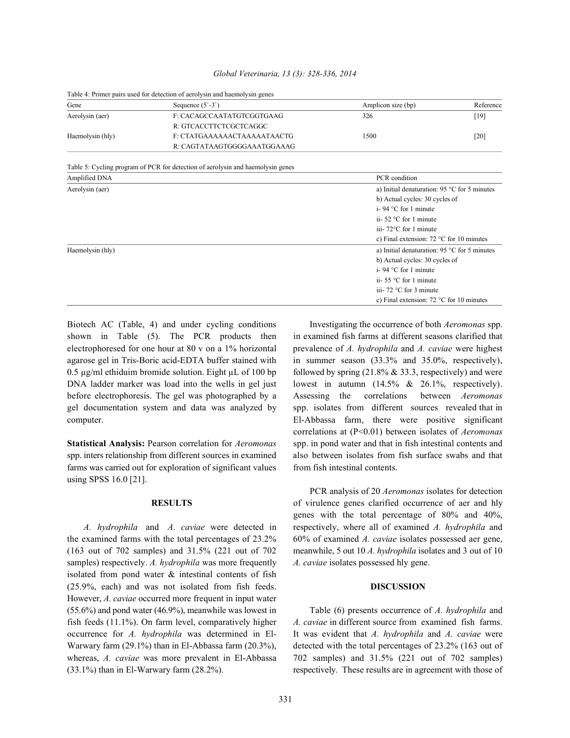| Gene                                                                                                                   | Sequence $(5^{\circ}-3^{\circ})$ | Amplicon size (bp)                                    | Reference |  |
|------------------------------------------------------------------------------------------------------------------------|----------------------------------|-------------------------------------------------------|-----------|--|
| Aerolysin (aer)                                                                                                        | F: CACAGCCAATATGTCGGTGAAG        | 326                                                   | [19]      |  |
|                                                                                                                        | R: GTCACCTTCTCGCTCAGGC           |                                                       |           |  |
| Haemolysin (hly)<br>Table 5: Cycling program of PCR for detection of aerolysin and haemolysin genes<br>Aerolysin (aer) | F: CTATGAAAAAACTAAAAATAACTG      | 1500                                                  | $[20]$    |  |
|                                                                                                                        | R: CAGTATAAGTGGGGAAATGGAAAG      |                                                       |           |  |
| Amplified DNA                                                                                                          |                                  | PCR condition                                         |           |  |
|                                                                                                                        |                                  |                                                       |           |  |
|                                                                                                                        |                                  | a) Initial denaturation: 95 $\degree$ C for 5 minutes |           |  |
|                                                                                                                        |                                  | b) Actual cycles: 30 cycles of                        |           |  |
|                                                                                                                        |                                  | i- 94 $^{\circ}$ C for 1 minute                       |           |  |
|                                                                                                                        |                                  | ii- $52 \text{ °C}$ for 1 minute                      |           |  |

Haemolysin (hly) a) Initial denaturation: 95 °C for 5 minutes

*Global Veterinaria, 13 (3): 328-336, 2014*

| Biotech AC (Table, 4) and under cycling conditions                |
|-------------------------------------------------------------------|
| shown in Table (5). The PCR products then                         |
| electrophoresed for one hour at 80 v on a 1% horizontal           |
| agarose gel in Tris-Boric acid-EDTA buffer stained with           |
| 0.5 $\mu$ g/ml ethiduim bromide solution. Eight $\mu$ L of 100 bp |
| DNA ladder marker was load into the wells in gel just             |
| before electrophoresis. The gel was photographed by a             |
| gel documentation system and data was analyzed by                 |
| computer.                                                         |

Table 4: Primer pairs used for detection of aerolysin and haemolysin genes

spp. inters relationship from different sources in examined also between isolates from fish surface swabs and that farms was carried out for exploration of significant values from fish intestinal contents. using SPSS 16.0 [21].

the examined farms with the total percentages of 23.2% 60% of examined *A. caviae* isolates possessed aer gene, (163 out of 702 samples) and 31.5% (221 out of 702 meanwhile, 5 out 10 *A. hydrophila* isolates and 3 out of 10 samples) respectively. *A. hydrophila* was more frequently *A. caviae* isolates possessed hly gene. isolated from pond water & intestinal contents of fish (25.9%, each) and was not isolated from fish feeds. **DISCUSSION** However, *A. caviae* occurred more frequent in input water (55.6%) and pond water (46.9%), meanwhile was lowest in Table (6) presents occurrence of *A. hydrophila* and fish feeds (11.1%). On farm level, comparatively higher *A. caviae* in different source from examined fish farms. occurrence for *A. hydrophila* was determined in El- It was evident that *A. hydrophila* and *A. caviae* were Warwary farm (29.1%) than in El-Abbassa farm (20.3%), detected with the total percentages of 23.2% (163 out of whereas, *A. caviae* was more prevalent in El-Abbassa 702 samples) and 31.5% (221 out of 702 samples) (33.1%) than in El-Warwary farm (28.2%). respectively. These results are in agreement with those of

Investigating the occurrence of both *Aeromonas* spp. in examined fish farms at different seasons clarified that prevalence of *A. hydrophila* and *A. caviae* were highest in summer season  $(33.3\%$  and  $35.0\%$ , respectively), followed by spring  $(21.8\% \& 33.3,$  respectively) and were lowest in autumn (14.5%  $\&$  26.1%, respectively). Assessing the correlations between *Aeromonas* spp. isolates from different sources revealed that in computer. El-Abbassa farm, there were positive significant **Statistical Analysis:** Pearson correlation for *Aeromonas* spp. in pond water and that in fish intestinal contents and correlations at (P<0.01) between isolates of *Aeromonas*

iii- 72°C for 1 minute

b) Actual cycles: 30 cycles of i- 94 °C for 1 minute ii- 55 °C for 1 minute iii- 72 °C for 3 minute

c) Final extension: 72 °C for 10 minutes

c) Final extension: 72 °C for 10 minutes

**RESULTS** of virulence genes clarified occurrence of aer and hly *A. hydrophila* and *A. caviae* were detected in respectively, where all of examined *A. hydrophila* and PCR analysis of 20 *Aeromonas* isolates for detection genes with the total percentage of 80% and 40%,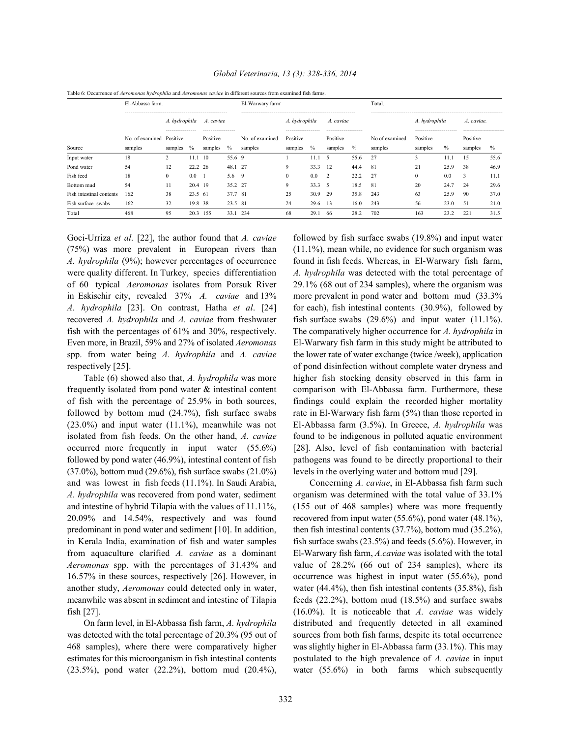|                          | El-Abbassa farm.           |                                         |          |                                          | El-Warwary farm |                            |                                           |      | Total.                                     |      |                           |                                               |      |                                                  |      |
|--------------------------|----------------------------|-----------------------------------------|----------|------------------------------------------|-----------------|----------------------------|-------------------------------------------|------|--------------------------------------------|------|---------------------------|-----------------------------------------------|------|--------------------------------------------------|------|
|                          |                            | A. hydrophila                           |          | A. caviae                                |                 |                            | A. hydrophila                             |      | A. caviae                                  |      |                           | A. hydrophila                                 |      | A. caviae.                                       |      |
| Source                   | No. of examined<br>samples | ----------------<br>Positive<br>samples | $\%$     | -----------------<br>Positive<br>samples | $\%$            | No. of examined<br>samples | ------------------<br>Positive<br>samples | $\%$ | -------------------<br>Positive<br>samples | $\%$ | No.of examined<br>samples | ----------------------<br>Positive<br>samples | $\%$ | -------------------------<br>Positive<br>samples | $\%$ |
| Input water              | 18                         |                                         | 11.1     | - 10                                     | 55.6 9          |                            |                                           | 11.1 | 5                                          | 55.6 | 27                        | 3                                             |      | 15                                               | 55.6 |
| Pond water               | 54                         | 12                                      | 22.2 26  |                                          | 48.1 27         |                            | 9                                         | 33.3 | 12                                         | 44.4 | 81                        | 21                                            | 25.9 | 38                                               | 46.9 |
| Fish feed                | 18                         | $\mathbf{0}$                            | 0.0      |                                          | 5.6 9           |                            | $\theta$                                  | 0.0  | 2                                          | 22.2 | 27                        | $\theta$                                      | 0.0  | 3                                                | 11.1 |
| Bottom mud               | 54                         | 11                                      | 20.4 19  |                                          | 35.2 27         |                            | 9                                         | 33.3 | - 5                                        | 18.5 | 81                        | 20                                            | 24.7 | 24                                               | 29.6 |
| Fish intestinal contents | 162                        | 38                                      | 23.5 61  |                                          | 37.7 81         |                            | 25                                        | 30.9 | 29                                         | 35.8 | 243                       | 63                                            | 25.9 | 90                                               | 37.0 |
| Fish surface swabs       | 162                        | 32                                      | 19.8 38  |                                          | 23.5 81         |                            | 24                                        | 29.6 | - 13                                       | 16.0 | 243                       | 56                                            | 23.0 | 51                                               | 21.0 |
| Total                    | 468                        | 95                                      | 20.3 155 |                                          | 33.1 234        |                            | 68                                        | 29.1 | -66                                        | 28.2 | 702                       | 163                                           | 23.2 | 221                                              | 31.5 |

## *Global Veterinaria, 13 (3): 328-336, 2014*



Goci-Urriza *et al.* [22], the author found that *A. caviae* followed by fish surface swabs (19.8%) and input water (75%) was more prevalent in European rivers than (11.1%), mean while, no evidence for such organism was *A. hydrophila* (9%); however percentages of occurrence found in fish feeds. Whereas, in El-Warwary fish farm, were quality different. In Turkey, species differentiation *A. hydrophila* was detected with the total percentage of of 60 typical *Aeromonas* isolates from Porsuk River 29.1% (68 out of 234 samples), where the organism was in Eskisehir city, revealed 37% *A. caviae* and 13% more prevalent in pond water and bottom mud (33.3% *A. hydrophila* [23]. On contrast, Hatha *et al*. [24] for each), fish intestinal contents (30.9%), followed by recovered *A. hydrophila* and *A. caviae* from freshwater fish surface swabs (29.6%) and input water (11.1%). fish with the percentages of 61% and 30%, respectively. The comparatively higher occurrence for *A. hydrophila* in Even more, in Brazil, 59% and 27% of isolated *Aeromonas* El-Warwary fish farm in this study might be attributed to spp. from water being *A. hydrophila* and *A. caviae* the lower rate of water exchange (twice /week), application respectively [25]. of pond disinfection without complete water dryness and

frequently isolated from pond water & intestinal content comparison with El-Abbassa farm. Furthermore, these of fish with the percentage of 25.9% in both sources, findings could explain the recorded higher mortality followed by bottom mud (24.7%), fish surface swabs rate in El-Warwary fish farm (5%) than those reported in (23.0%) and input water (11.1%), meanwhile was not El-Abbassa farm (3.5%). In Greece, *A. hydrophila* was isolated from fish feeds. On the other hand, *A. caviae* found to be indigenous in polluted aquatic environment occurred more frequently in input water (55.6%) [28]. Also, level of fish contamination with bacterial followed by pond water (46.9%), intestinal content of fish pathogens was found to be directly proportional to their (37.0%), bottom mud (29.6%), fish surface swabs (21.0%) levels in the overlying water and bottom mud [29]. and was lowest in fish feeds (11.1%). In Saudi Arabia, Concerning *A. caviae*, in El-Abbassa fish farm such *A. hydrophila* was recovered from pond water, sediment organism was determined with the total value of 33.1% and intestine of hybrid Tilapia with the values of 11.11%, (155 out of 468 samples) where was more frequently 20.09% and 14.54%, respectively and was found recovered from input water (55.6%), pond water (48.1%), predominant in pond water and sediment [10]. In addition, then fish intestinal contents (37.7%), bottom mud (35.2%), in Kerala India, examination of fish and water samples fish surface swabs (23.5%) and feeds (5.6%). However, in from aquaculture clarified *A. caviae* as a dominant El-Warwary fish farm, *A.caviae* was isolated with the total *Aeromonas* spp. with the percentages of 31.43% and value of 28.2% (66 out of 234 samples), where its 16.57% in these sources, respectively [26]. However, in occurrence was highest in input water (55.6%), pond another study, *Aeromonas* could detected only in water, water (44.4%), then fish intestinal contents (35.8%), fish meanwhile was absent in sediment and intestine of Tilapia feeds (22.2%), bottom mud (18.5%) and surface swabs fish [27]. (16.0%). It is noticeable that *A. caviae* was widely

was detected with the total percentage of 20.3% (95 out of sources from both fish farms, despite its total occurrence 468 samples), where there were comparatively higher was slightly higher in El-Abbassa farm (33.1%). This may estimates for this microorganism in fish intestinal contents postulated to the high prevalence of *A. caviae* in input (23.5%), pond water (22.2%), bottom mud (20.4%), water (55.6%) in both farms which subsequently

Table (6) showed also that, *A. hydrophila* was more higher fish stocking density observed in this farm in

On farm level, in El-Abbassa fish farm, *A. hydrophila* distributed and frequently detected in all examined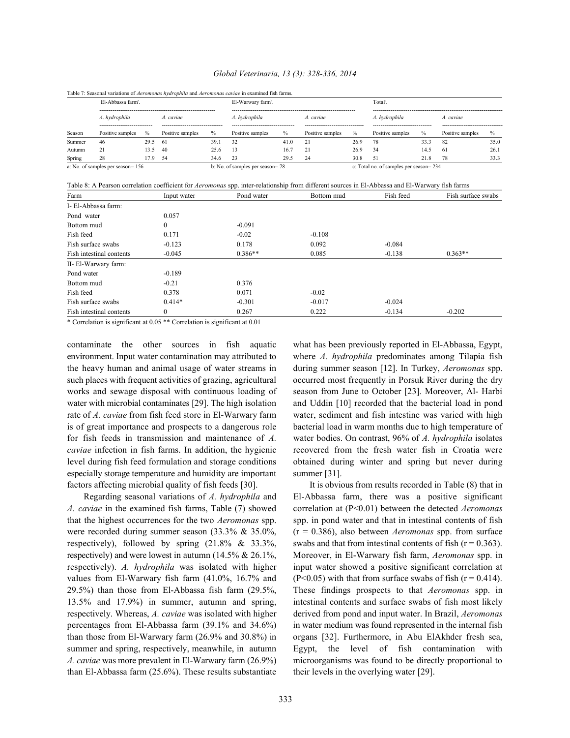### *Global Veterinaria, 13 (3): 328-336, 2014*

|        | El-Abbassa farm <sup>a</sup> .                |      |                  | El-Warwary farm <sup>b</sup> . |                                 |               |                                             |      | Total <sup>e</sup> .                            |      |                  |      |
|--------|-----------------------------------------------|------|------------------|--------------------------------|---------------------------------|---------------|---------------------------------------------|------|-------------------------------------------------|------|------------------|------|
|        | A. hydrophila<br>---------------------------- |      | A. caviae<br>    |                                | A. hydrophila<br>               |               | A. caviae<br>------------------------------ |      | A. hydrophila<br>------------------------------ |      | A. caviae        |      |
| Season | Positive samples                              | $\%$ | Positive samples | $\%$                           | Positive samples                | $\frac{0}{0}$ | Positive samples                            | $\%$ | Positive samples                                | $\%$ | Positive samples | $\%$ |
| Summer | 46                                            | 29.5 | - 61             | 391                            | 32                              | 41.0          | 21                                          | 26.9 | 78                                              | 33.3 | 82               | 35.0 |
| Autumn | 21                                            | 13.5 | 40               | 25.6                           | 13                              | 16.7          | 21                                          | 26.9 | 34                                              | 14.5 | -61              | 26.1 |
| Spring | 28                                            | 7.9  | - 54             | 34.6                           | 23                              | 29.5          | 24                                          | 30.8 | 51                                              | 21.8 | 78               | 33.3 |
|        | a: No. of samples per season= 156             |      |                  |                                | b: No. of samples per season=78 |               |                                             |      | c: Total no. of samples per season= 234         |      |                  |      |

Table 7: Seasonal variations of *Aeromonas hydrophila* and *Aeromonas caviae* in examined fish farms.

Table 8: A Pearson correlation coefficient for *Aeromonas* spp. inter-relationship from different sources in El-Abbassa and El-Warwary fish farms

| Farm                     | Input water | Pond water | Bottom mud | Fish feed | Fish surface swabs |
|--------------------------|-------------|------------|------------|-----------|--------------------|
| I- El-Abbassa farm:      |             |            |            |           |                    |
| Pond water               | 0.057       |            |            |           |                    |
| Bottom mud               | 0           | $-0.091$   |            |           |                    |
| Fish feed                | 0.171       | $-0.02$    | $-0.108$   |           |                    |
| Fish surface swabs       | $-0.123$    | 0.178      | 0.092      | $-0.084$  |                    |
| Fish intestinal contents | $-0.045$    | $0.386**$  | 0.085      | $-0.138$  | $0.363**$          |
| II- El-Warwary farm:     |             |            |            |           |                    |
| Pond water               | $-0.189$    |            |            |           |                    |
| Bottom mud               | $-0.21$     | 0.376      |            |           |                    |
| Fish feed                | 0.378       | 0.071      | $-0.02$    |           |                    |
| Fish surface swabs       | $0.414*$    | $-0.301$   | $-0.017$   | $-0.024$  |                    |
| Fish intestinal contents | 0           | 0.267      | 0.222      | $-0.134$  | $-0.202$           |

\* Correlation is significant at 0.05 \*\* Correlation is significant at 0.01

the heavy human and animal usage of water streams in during summer season [12]. In Turkey, *Aeromonas* spp. especially storage temperature and humidity are important summer [31]. factors affecting microbial quality of fish feeds [30]. It is obvious from results recorded in Table (8) that in

respectively), followed by spring  $(21.8\% \& 33.3\%)$ , swabs and that from intestinal contents of fish (r = 0.363). than El-Abbassa farm (25.6%). These results substantiate their levels in the overlying water [29].

contaminate the other sources in fish aquatic what has been previously reported in El-Abbassa, Egypt, environment. Input water contamination may attributed to where *A. hydrophila* predominates among Tilapia fish such places with frequent activities of grazing, agricultural occurred most frequently in Porsuk River during the dry works and sewage disposal with continuous loading of season from June to October [23]. Moreover, Al-Harbi water with microbial contaminates [29]. The high isolation and Uddin [10] recorded that the bacterial load in pond rate of *A. caviae* from fish feed store in El-Warwary farm water, sediment and fish intestine was varied with high is of great importance and prospects to a dangerous role bacterial load in warm months due to high temperature of for fish feeds in transmission and maintenance of *A.* water bodies. On contrast, 96% of *A. hydrophila* isolates *caviae* infection in fish farms. In addition, the hygienic recovered from the fresh water fish in Croatia were level during fish feed formulation and storage conditions obtained during winter and spring but never during

Regarding seasonal variations of *A. hydrophila* and El-Abbassa farm, there was a positive significant *A. caviae* in the examined fish farms, Table (7) showed correlation at (P<0.01) between the detected *Aeromonas* that the highest occurrences for the two *Aeromonas* spp. spp. in pond water and that in intestinal contents of fish were recorded during summer season (33.3% & 35.0%, (r = 0.386), also between *Aeromonas* spp. from surface respectively) and were lowest in autumn (14.5% & 26.1%, Moreover, in El-Warwary fish farm, *Aeromonas* spp. in respectively). *A. hydrophila* was isolated with higher input water showed a positive significant correlation at values from El-Warwary fish farm  $(41.0\%, 16.7\%$  and  $(P<0.05)$  with that from surface swabs of fish (r = 0.414). 29.5%) than those from El-Abbassa fish farm (29.5%, These findings prospects to that *Aeromonas* spp. in 13.5% and 17.9%) in summer, autumn and spring, intestinal contents and surface swabs of fish most likely respectively. Whereas, *A. caviae* was isolated with higher derived from pond and input water. In Brazil, *Aeromonas* percentages from El-Abbassa farm (39.1% and 34.6%) in water medium was found represented in the internal fish than those from El-Warwary farm (26.9% and 30.8%) in organs [32]. Furthermore, in Abu ElAkhder fresh sea, summer and spring, respectively, meanwhile, in autumn Egypt, the level of fish contamination with *A. caviae* was more prevalent in El-Warwary farm (26.9%) microorganisms was found to be directly proportional to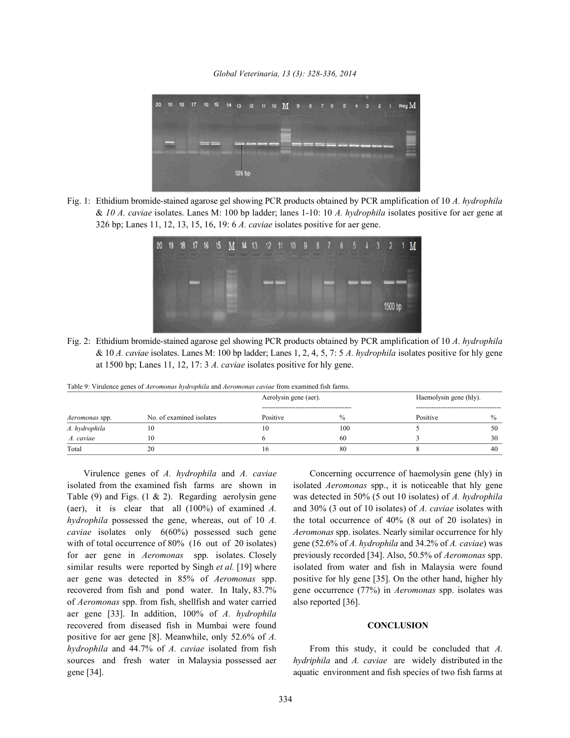*Global Veterinaria, 13 (3): 328-336, 2014*



Fig. 1: Ethidium bromide-stained agarose gel showing PCR products obtained by PCR amplification of 10 *A. hydrophila* & *10 A. caviae* isolates. Lanes M: 100 bp ladder; lanes 1-10: 10 *A. hydrophila* isolates positive for aer gene at 326 bp; Lanes 11, 12, 13, 15, 16, 19: 6 *A. caviae* isolates positive for aer gene.



Fig. 2: Ethidium bromide-stained agarose gel showing PCR products obtained by PCR amplification of 10 *A. hydrophila* & 10 *A. caviae* isolates. Lanes M: 100 bp ladder; Lanes 1, 2, 4, 5, 7: 5 *A. hydrophila* isolates positive for hly gene at 1500 bp; Lanes 11, 12, 17: 3 *A. caviae* isolates positive for hly gene.

Table 9: Virulence genes of *Aeromonas hydrophila* and *Aeromonas caviae* from examined fish farms.

|                |                          | Aerolysin gene (aer). |     | Haemolysin gene (hly).                    |               |  |
|----------------|--------------------------|-----------------------|-----|-------------------------------------------|---------------|--|
| Aeromonas spp. | No. of examined isolates | Positive              |     | -----------------------------<br>Positive | $\frac{0}{0}$ |  |
| A. hydrophila  | 10                       | 10                    | 100 |                                           | 50            |  |
| A. caviae      | 10                       |                       | 60  |                                           | 30            |  |
| Total          | 20                       |                       | 80  |                                           | 40            |  |

isolated from the examined fish farms are shown in isolated *Aeromonas* spp., it is noticeable that hly gene Table (9) and Figs. (1 & 2). Regarding aerolysin gene was detected in 50% (5 out 10 isolates) of *A. hydrophila* (aer), it is clear that all (100%) of examined *A.* and 30% (3 out of 10 isolates) of *A. caviae* isolates with *hydrophila* possessed the gene, whereas, out of 10 *A*. the total occurrence of 40% (8 out of 20 isolates) in *caviae* isolates only 6(60%) possessed such gene *Aeromonas* spp. isolates. Nearly similar occurrence for hly with of total occurrence of 80% (16 out of 20 isolates) gene (52.6% of *A. hydrophila* and 34.2% of *A. caviae*) was for aer gene in *Aeromonas* spp. isolates. Closely previously recorded [34]. Also, 50.5% of *Aeromonas* spp. similar results were reported by Singh *et al.* [19] where isolated from water and fish in Malaysia were found aer gene was detected in 85% of *Aeromonas* spp. positive for hly gene [35]. On the other hand, higher hly recovered from fish and pond water. In Italy, 83.7% gene occurrence (77%) in *Aeromonas* spp. isolates was of *Aeromonas* spp. from fish, shellfish and water carried also reported [36]. aer gene [33]. In addition, 100% of *A. hydrophila* recovered from diseased fish in Mumbai were found **CONCLUSION** positive for aer gene [8]. Meanwhile, only 52.6% of *A. hydrophila* and 44.7% of *A. caviae* isolated from fish From this study, it could be concluded that *A.* sources and fresh water in Malaysia possessed aer *hydriphila* and *A. caviae* are widely distributed in the gene [34]. **a** aquatic environment and fish species of two fish farms at

Virulence genes of *A. hydrophila* and *A. caviae* Concerning occurrence of haemolysin gene (hly) in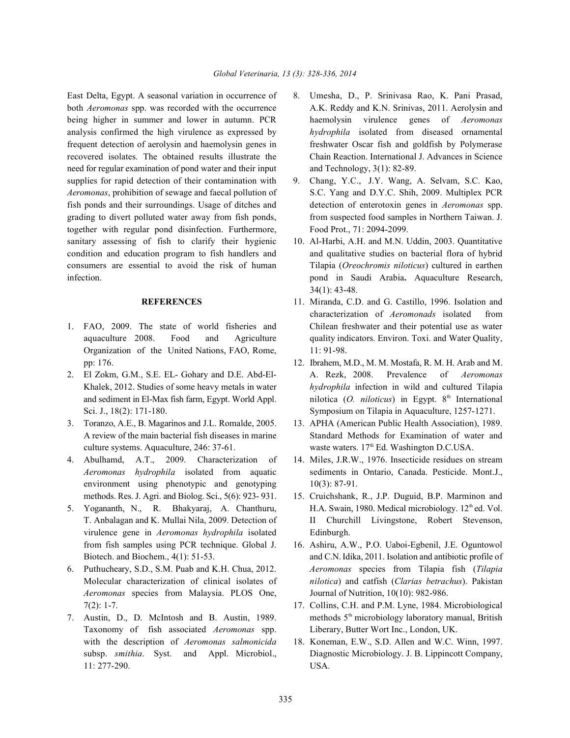both *Aeromonas* spp. was recorded with the occurrence A.K. Reddy and K.N. Srinivas, 2011. Aerolysin and being higher in summer and lower in autumn. PCR haemolysin virulence genes of *Aeromonas* analysis confirmed the high virulence as expressed by *hydrophila* isolated from diseased ornamental frequent detection of aerolysin and haemolysin genes in freshwater Oscar fish and goldfish by Polymerase recovered isolates. The obtained results illustrate the Chain Reaction. International J. Advances in Science need for regular examination of pond water and their input and Technology, 3(1): 82-89. supplies for rapid detection of their contamination with 9. Chang, Y.C., J.Y. Wang, A. Selvam, S.C. Kao, *Aeromonas*, prohibition of sewage and faecal pollution of S.C. Yang and D.Y.C. Shih, 2009. Multiplex PCR fish ponds and their surroundings. Usage of ditches and detection of enterotoxin genes in *Aeromonas* spp. grading to divert polluted water away from fish ponds, from suspected food samples in Northern Taiwan. J. together with regular pond disinfection. Furthermore, Food Prot., 71: 2094-2099. sanitary assessing of fish to clarify their hygienic 10. Al-Harbi, A.H. and M.N. Uddin, 2003. Quantitative condition and education program to fish handlers and and qualitative studies on bacterial flora of hybrid consumers are essential to avoid the risk of human Tilapia (*Oreochromis niloticus*) cultured in earthen infection. pond in Saudi Arabia**.** Aquaculture Research,

- Organization of the United Nations, FAO, Rome, 11: 91-98.
- 
- culture systems. Aquaculture, 246: 37-61.
- environment using phenotypic and genotyping 10(3): 87-91.
- 5. Yogananth, N., R. Bhakyaraj, A. Chanthuru, virulence gene in *Aeromonas hydrophila* isolated Edinburgh.
- *Aeromonas* species from Malaysia. PLOS One, Journal of Nutrition, 10(10): 982-986.
- 7. Austin, D., D. McIntosh and B. Austin, 1989. Taxonomy of fish associated *Aeromonas* spp. Liberary, Butter Wort Inc., London, UK. with the description of *Aeromonas salmonicida* 18. Koneman, E.W., S.D. Allen and W.C. Winn, 1997. 11: 277-290. USA.
- East Delta, Egypt. A seasonal variation in occurrence of 8. Umesha, D., P. Srinivasa Rao, K. Pani Prasad,
	-
	- 34(1): 43-48.
- **REFERENCES** 11. Miranda, C.D. and G. Castillo, 1996. Isolation and 1. FAO, 2009. The state of world fisheries and Chilean freshwater and their potential use as water aquaculture 2008. Food and Agriculture quality indicators. Environ. Toxi. and Water Quality, characterization of *Aeromonads* isolated from
- pp: 176. 12. Ibrahem, M.D., M. M. Mostafa, R. M. H. Arab and M. 2. El Zokm, G.M., S.E. EL- Gohary and D.E. Abd-El- A. Rezk, 2008. Prevalence of *Aeromonas* Khalek, 2012. Studies of some heavy metals in water *hydrophila* infection in wild and cultured Tilapia and sediment in El-Max fish farm, Egypt. World Appl. nilotica (O. niloticus) in Egypt. 8<sup>th</sup> International Sci. J., 18(2): 171-180. Symposium on Tilapia in Aquaculture, 1257-1271.
- 3. Toranzo, A.E., B. Magarinos and J.L. Romalde, 2005. 13. APHA (American Public Health Association), 1989. A review of the main bacterial fish diseases in marine Standard Methods for Examination of water and waste waters, 17<sup>th</sup> Ed. Washington D.C.USA.
- 4. Abulhamd, A.T., 2009. Characterization of 14. Miles, J.R.W., 1976. Insecticide residues on stream *Aeromonas hydrophila* isolated from aquatic sediments in Ontario, Canada. Pesticide. Mont.J.,
	- methods. Res. J. Agri. and Biolog. Sci., 5(6): 923- 931. 15. Cruichshank, R., J.P. Duguid, B.P. Marminon and T. Anbalagan and K. Mullai Nila, 2009. Detection of II Churchill Livingstone, Robert Stevenson, H.A. Swain, 1980. Medical microbiology. 12<sup>th</sup> ed. Vol.
- from fish samples using PCR technique. Global J. 16. Ashiru, A.W., P.O. Uaboi-Egbenil, J.E. Oguntowol Biotech. and Biochem., 4(1): 51-53. and C.N. Idika, 2011. Isolation and antibiotic profile of 6. Puthucheary, S.D., S.M. Puab and K.H. Chua, 2012. *Aeromonas* species from Tilapia fish (*Tilapia* Molecular characterization of clinical isolates of *nilotica*) and catfish (*Clarias betrachus*). Pakistan
	- 7(2): 1-7. 17. Collins, C.H. and P.M. Lyne, 1984. Microbiological methods 5<sup>th</sup> microbiology laboratory manual, British
	- subsp. *smithia*. Syst. and Appl. Microbiol., Diagnostic Microbiology. J. B. Lippincott Company,